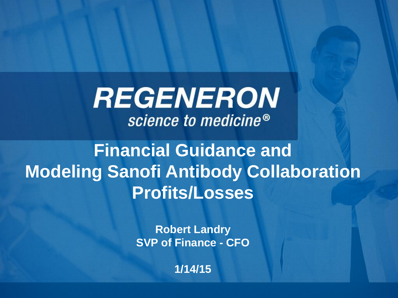**REGENERON** science to medicine<sup>®</sup>

**Financial Guidance and Modeling Sanofi Antibody Collaboration Profits/Losses**

> **Robert Landry SVP of Finance - CFO**

> > **1/14/15**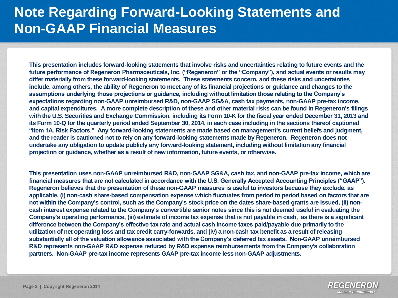#### **Note Regarding Forward-Looking Statements and Non-GAAP Financial Measures**

**This presentation includes forward-looking statements that involve risks and uncertainties relating to future events and the future performance of Regeneron Pharmaceuticals, Inc. ("Regeneron" or the "Company"), and actual events or results may differ materially from these forward-looking statements. These statements concern, and these risks and uncertainties include, among others, the ability of Regeneron to meet any of its financial projections or guidance and changes to the assumptions underlying those projections or guidance, including without limitation those relating to the Company's expectations regarding non-GAAP unreimbursed R&D, non-GAAP SG&A, cash tax payments, non-GAAP pre-tax income, and capital expenditures. A more complete description of these and other material risks can be found in Regeneron's filings with the U.S. Securities and Exchange Commission, including its Form 10-K for the fiscal year ended December 31, 2013 and its Form 10-Q for the quarterly period ended September 30, 2014, in each case including in the sections thereof captioned "Item 1A. Risk Factors." Any forward-looking statements are made based on management's current beliefs and judgment, and the reader is cautioned not to rely on any forward-looking statements made by Regeneron. Regeneron does not undertake any obligation to update publicly any forward-looking statement, including without limitation any financial projection or guidance, whether as a result of new information, future events, or otherwise.**

**This presentation uses non-GAAP unreimbursed R&D, non-GAAP SG&A, cash tax, and non-GAAP pre-tax income, which are financial measures that are not calculated in accordance with the U.S. Generally Accepted Accounting Principles ("GAAP"). Regeneron believes that the presentation of these non-GAAP measures is useful to investors because they exclude, as applicable, (i) non-cash share-based compensation expense which fluctuates from period to period based on factors that are not within the Company's control, such as the Company's stock price on the dates share-based grants are issued, (ii) noncash interest expense related to the Company's convertible senior notes since this is not deemed useful in evaluating the Company's operating performance, (iii) estimate of income tax expense that is not payable in cash, as there is a significant difference between the Company's effective tax rate and actual cash income taxes paid/payable due primarily to the utilization of net operating loss and tax credit carry-forwards, and (iv) a non-cash tax benefit as a result of releasing substantially all of the valuation allowance associated with the Company's deferred tax assets. Non-GAAP unreimbursed R&D represents non-GAAP R&D expense reduced by R&D expense reimbursements from the Company's collaboration partners. Non-GAAP pre-tax income represents GAAP pre-tax income less non-GAAP adjustments.** 

> REGENERON science to medicine®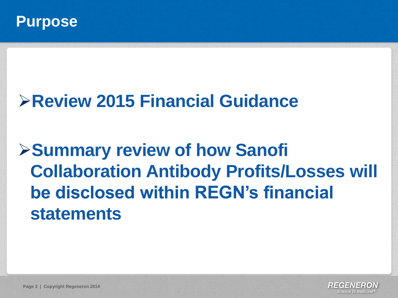

# **Review 2015 Financial Guidance**

**Summary review of how Sanofi Collaboration Antibody Profits/Losses will be disclosed within REGN's financial statements**

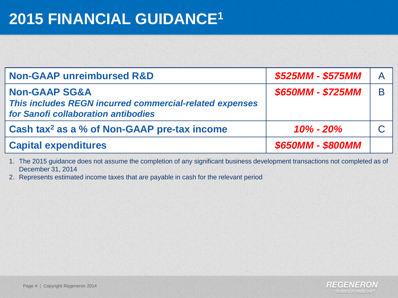# **2015 FINANCIAL GUIDANCE<sup>1</sup>**

| <b>Non-GAAP unreimbursed R&amp;D</b>                                                                                       | \$525MM - \$575MM |   |
|----------------------------------------------------------------------------------------------------------------------------|-------------------|---|
| <b>Non-GAAP SG&amp;A</b><br>This includes REGN incurred commercial-related expenses<br>for Sanofi collaboration antibodies | \$650MM - \$725MM | B |
| Cash tax <sup>2</sup> as a % of Non-GAAP pre-tax income                                                                    | $10\% - 20\%$     |   |
| <b>Capital expenditures</b>                                                                                                | \$650MM - \$800MM |   |

1. The 2015 guidance does not assume the completion of any significant business development transactions not completed as of December 31, 2014

2. Represents estimated income taxes that are payable in cash for the relevant period

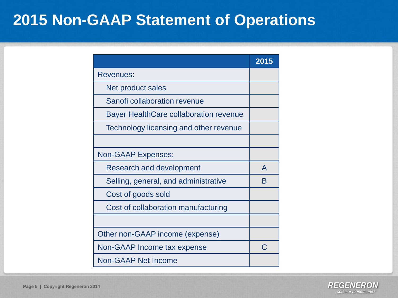#### **2015 Non-GAAP Statement of Operations**

|                                               | 2015 |
|-----------------------------------------------|------|
| <b>Revenues:</b>                              |      |
| Net product sales                             |      |
| Sanofi collaboration revenue                  |      |
| <b>Bayer HealthCare collaboration revenue</b> |      |
| Technology licensing and other revenue        |      |
|                                               |      |
| <b>Non-GAAP Expenses:</b>                     |      |
| <b>Research and development</b>               | A    |
| Selling, general, and administrative          | Β    |
| Cost of goods sold                            |      |
| Cost of collaboration manufacturing           |      |
|                                               |      |
| Other non-GAAP income (expense)               |      |
| Non-GAAP Income tax expense                   | C.   |
| <b>Non-GAAP Net Income</b>                    |      |

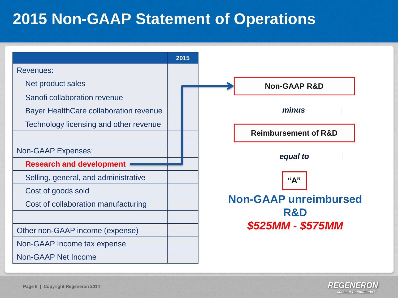### **2015 Non-GAAP Statement of Operations**



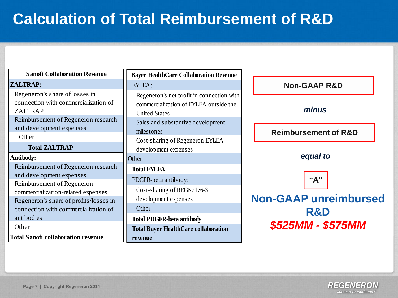## **Calculation of Total Reimbursement of R&D**

| <b>Sanofi Collaboration Revenue</b>                                                                                                    | <b>Bayer HealthCare Collaboration Revenue</b>                                                                                                    |                                     |
|----------------------------------------------------------------------------------------------------------------------------------------|--------------------------------------------------------------------------------------------------------------------------------------------------|-------------------------------------|
| <b>ZALTRAP:</b>                                                                                                                        | EYLEA:                                                                                                                                           | <b>Non-GAAP R&amp;D</b>             |
| Regeneron's share of losses in<br>connection with commercialization of<br><b>ZALTRAP</b><br>Reimbursement of Regeneron research        | Regeneron's net profit in connection with<br>commercialization of EYLEA outside the<br><b>United States</b><br>Sales and substantive development | minus                               |
| and development expenses<br>Other                                                                                                      | milestones<br>Cost-sharing of Regeneron EYLEA                                                                                                    | <b>Reimbursement of R&amp;D</b>     |
| <b>Total ZALTRAP</b>                                                                                                                   | development expenses                                                                                                                             |                                     |
| <b>Antibody:</b>                                                                                                                       | Other                                                                                                                                            | equal to                            |
| Reimbursement of Regeneron research                                                                                                    | <b>Total EYLEA</b>                                                                                                                               |                                     |
| and development expenses<br>Reimbursement of Regeneron<br>commercialization-related expenses<br>Regeneron's share of profits/losses in | PDGFR-beta antibody:<br>Cost-sharing of REGN2176-3<br>development expenses                                                                       | "A"<br><b>Non-GAAP unreimbursed</b> |
| connection with commercialization of<br>antibodies                                                                                     | Other                                                                                                                                            | <b>R&amp;D</b>                      |
| Other                                                                                                                                  | <b>Total PDGFR-beta antibody</b><br><b>Total Bayer HealthCare collaboration</b>                                                                  | \$525MM - \$575MM                   |
| <b>Total Sanofi collaboration revenue</b>                                                                                              | revenue                                                                                                                                          |                                     |

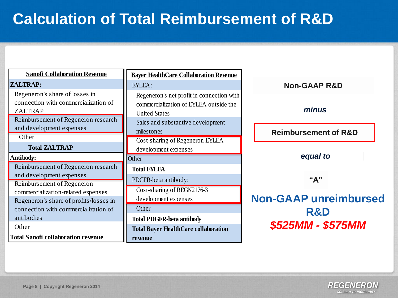## **Calculation of Total Reimbursement of R&D**

| <b>Sanofi Collaboration Revenue</b>                                                                                             | <b>Baver HealthCare Collaboration Revenue</b>                                                               |                                 |
|---------------------------------------------------------------------------------------------------------------------------------|-------------------------------------------------------------------------------------------------------------|---------------------------------|
| <b>ZALTRAP:</b>                                                                                                                 | EYLEA:                                                                                                      | <b>Non-GAAP R&amp;D</b>         |
| Regeneron's share of losses in<br>connection with commercialization of<br><b>ZALTRAP</b><br>Reimbursement of Regeneron research | Regeneron's net profit in connection with<br>commercialization of EYLEA outside the<br><b>United States</b> | minus                           |
| and development expenses                                                                                                        | Sales and substantive development<br>milestones                                                             | <b>Reimbursement of R&amp;D</b> |
| Other<br><b>Total ZALTRAP</b>                                                                                                   | Cost-sharing of Regeneron EYLEA<br>development expenses                                                     |                                 |
| <b>Antibody:</b>                                                                                                                | Other                                                                                                       | equal to                        |
| Reimbursement of Regeneron research<br>and development expenses                                                                 | <b>Total EYLEA</b>                                                                                          |                                 |
| Reimbursement of Regeneron                                                                                                      | PDGFR-beta antibody:                                                                                        | "A"                             |
| commercialization-related expenses<br>Regeneron's share of profits/losses in                                                    | Cost-sharing of REGN2176-3<br>development expenses                                                          | <b>Non-GAAP unreimbursed</b>    |
| connection with commercialization of                                                                                            | Other                                                                                                       | <b>R&amp;D</b>                  |
| antibodies                                                                                                                      | <b>Total PDGFR-beta antibody</b>                                                                            |                                 |
| Other                                                                                                                           | <b>Total Bayer HealthCare collaboration</b>                                                                 | \$525MM - \$575MM               |
| <b>Total Sanofi collaboration revenue</b>                                                                                       | revenue                                                                                                     |                                 |

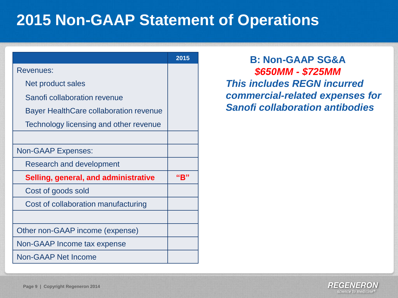### **2015 Non-GAAP Statement of Operations**

|                                               | 2015 |
|-----------------------------------------------|------|
| <b>Revenues:</b>                              |      |
| Net product sales                             |      |
| Sanofi collaboration revenue                  |      |
| <b>Bayer HealthCare collaboration revenue</b> |      |
| Technology licensing and other revenue        |      |
|                                               |      |
| <b>Non-GAAP Expenses:</b>                     |      |
| <b>Research and development</b>               |      |
| Selling, general, and administrative          | "B"  |
| Cost of goods sold                            |      |
| Cost of collaboration manufacturing           |      |
|                                               |      |
| Other non-GAAP income (expense)               |      |
| Non-GAAP Income tax expense                   |      |
| <b>Non-GAAP Net Income</b>                    |      |

**B: Non-GAAP SG&A** *\$650MM - \$725MM This includes REGN incurred commercial-related expenses for Sanofi collaboration antibodies*

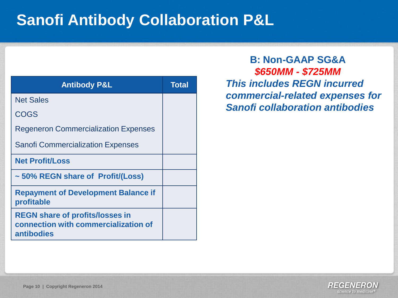| <b>Antibody P&amp;L</b>                                                                      | Total |
|----------------------------------------------------------------------------------------------|-------|
| <b>Net Sales</b>                                                                             |       |
| COGS                                                                                         |       |
| <b>Regeneron Commercialization Expenses</b>                                                  |       |
| <b>Sanofi Commercialization Expenses</b>                                                     |       |
| <b>Net Profit/Loss</b>                                                                       |       |
| ~50% REGN share of Profit/(Loss)                                                             |       |
| <b>Repayment of Development Balance if</b><br>profitable                                     |       |
| <b>REGN share of profits/losses in</b><br>connection with commercialization of<br>antibodies |       |

**B: Non-GAAP SG&A** *\$650MM - \$725MM This includes REGN incurred commercial-related expenses for Sanofi collaboration antibodies*

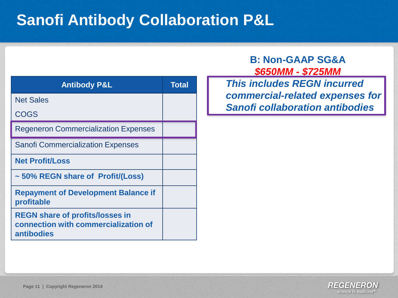| <b>Antibody P&amp;L</b>                                                                      | <b>Total</b> |
|----------------------------------------------------------------------------------------------|--------------|
| <b>Net Sales</b>                                                                             |              |
| COGS                                                                                         |              |
| <b>Regeneron Commercialization Expenses</b>                                                  |              |
| <b>Sanofi Commercialization Expenses</b>                                                     |              |
| <b>Net Profit/Loss</b>                                                                       |              |
| ~50% REGN share of Profit/(Loss)                                                             |              |
| <b>Repayment of Development Balance if</b><br>profitable                                     |              |
| <b>REGN share of profits/losses in</b><br>connection with commercialization of<br>antibodies |              |

**B: Non-GAAP SG&A** *\$650MM - \$725MM*

*This includes REGN incurred commercial-related expenses for Sanofi collaboration antibodies*

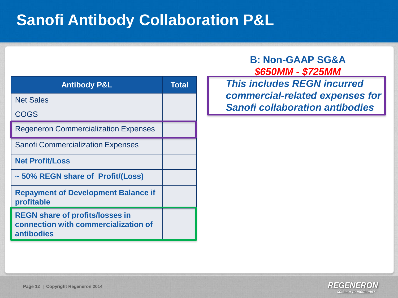| <b>Antibody P&amp;L</b>                                                                      | <b>Total</b> |
|----------------------------------------------------------------------------------------------|--------------|
| <b>Net Sales</b>                                                                             |              |
| <b>COGS</b>                                                                                  |              |
| <b>Regeneron Commercialization Expenses</b>                                                  |              |
| <b>Sanofi Commercialization Expenses</b>                                                     |              |
| <b>Net Profit/Loss</b>                                                                       |              |
| ~50% REGN share of Profit/(Loss)                                                             |              |
| <b>Repayment of Development Balance if</b><br>profitable                                     |              |
| <b>REGN share of profits/losses in</b><br>connection with commercialization of<br>antibodies |              |

#### **B: Non-GAAP SG&A** *\$650MM - \$725MM*

*This includes REGN incurred commercial-related expenses for Sanofi collaboration antibodies*

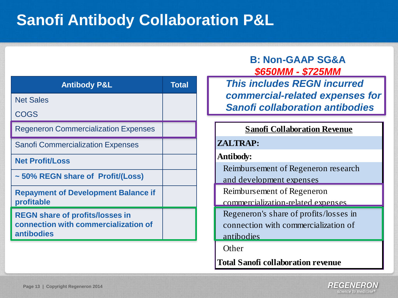| <b>Antibody P&amp;L</b>                                                                             | <b>Total</b> |
|-----------------------------------------------------------------------------------------------------|--------------|
| <b>Net Sales</b>                                                                                    |              |
| <b>COGS</b>                                                                                         |              |
| <b>Regeneron Commercialization Expenses</b>                                                         |              |
| <b>Sanofi Commercialization Expenses</b>                                                            |              |
| <b>Net Profit/Loss</b>                                                                              |              |
| ~50% REGN share of Profit/(Loss)                                                                    |              |
| <b>Repayment of Development Balance if</b><br>profitable                                            |              |
| <b>REGN share of profits/losses in</b><br>connection with commercialization of<br><b>antibodies</b> |              |

#### **B: Non-GAAP SG&A** *\$650MM - \$725MM*

*This includes REGN incurred commercial-related expenses for Sanofi collaboration antibodies*

#### **Sanofi Collaboration Revenue**

#### **ZALTRAP:**

**Antibody:**

Reimbursement of Regeneron research and development expenses

Reimbursement of Regeneron

commercialization-related expenses

Regeneron's share of profits/losses in connection with commercialization of antibodies

**Other** 

**Total Sanofi collaboration revenue**

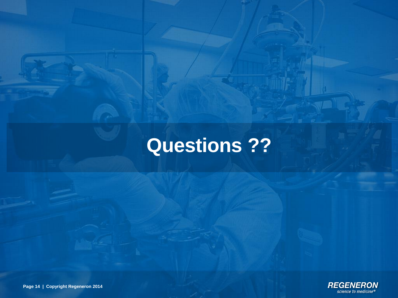# **Questions ??**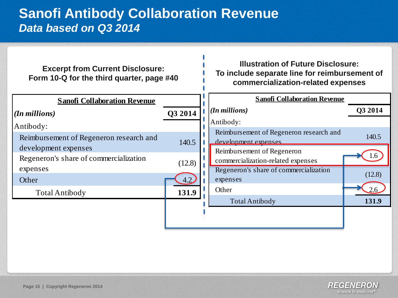#### **Sanofi Antibody Collaboration Revenue** *Data based on Q3 2014*

| <b>Excerpt from Current Disclosure:</b><br>Form 10-Q for the third quarter, page #40 |         | <b>Illustration of Future Disclosure:</b><br>To include separate line for reimbursement of<br>commercialization-related expenses |         |
|--------------------------------------------------------------------------------------|---------|----------------------------------------------------------------------------------------------------------------------------------|---------|
| <b>Sanofi Collaboration Revenue</b>                                                  |         | <b>Sanofi Collaboration Revenue</b>                                                                                              |         |
| $(In$ millions)                                                                      | Q3 2014 | $(n$ millions)                                                                                                                   | Q3 2014 |
| Antibody:                                                                            |         | Antibody:                                                                                                                        |         |
| Reimbursement of Regeneron research and                                              | 140.5   | Reimbursement of Regeneron research and<br>development expenses                                                                  | 140.5   |
| development expenses                                                                 |         | Reimbursement of Regeneron                                                                                                       |         |
| Regeneron's share of commercialization                                               | (12.8)  | commercialization-related expenses                                                                                               | 1.6     |
| expenses                                                                             |         | Regeneron's share of commercialization                                                                                           |         |
| Other                                                                                | 4.2     | expenses                                                                                                                         | (12.8)  |
| <b>Total Antibody</b>                                                                | 131.9   | Other                                                                                                                            |         |
|                                                                                      |         | <b>Total Antibody</b>                                                                                                            | 131.9   |
|                                                                                      |         |                                                                                                                                  |         |
|                                                                                      |         |                                                                                                                                  |         |

٠